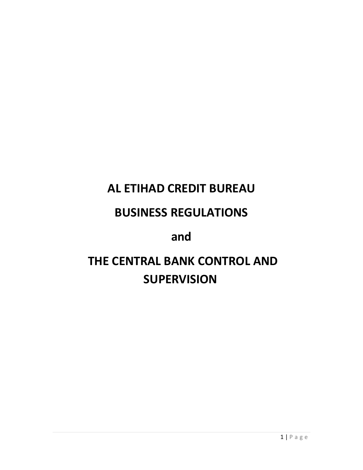# **AL ETIHAD CREDIT BUREAU**

# **BUSINESS REGULATIONS**

# **and**

# **THE CENTRAL BANK CONTROL AND SUPERVISION**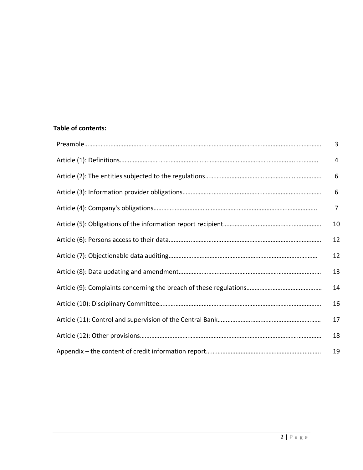# **Table of contents:**

| 3              |
|----------------|
| 4              |
| 6              |
| 6              |
| $\overline{7}$ |
| 10             |
| 12             |
| 12             |
| 13             |
| 14             |
| 16             |
| 17             |
| 18             |
| 19             |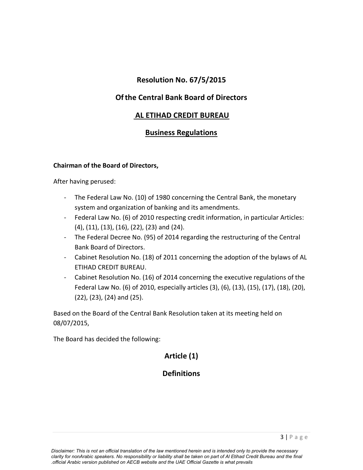# **Resolution No. 67/5/2015**

# **Ofthe Central Bank Board of Directors**

# **AL ETIHAD CREDIT BUREAU**

# **Business Regulations**

#### **Chairman of the Board of Directors,**

After having perused:

- The Federal Law No. (10) of 1980 concerning the Central Bank, the monetary system and organization of banking and its amendments.
- Federal Law No. (6) of 2010 respecting credit information, in particular Articles: (4), (11), (13), (16), (22), (23) and (24).
- The Federal Decree No. (95) of 2014 regarding the restructuring of the Central Bank Board of Directors.
- Cabinet Resolution No. (18) of 2011 concerning the adoption of the bylaws of AL ETIHAD CREDIT BUREAU.
- Cabinet Resolution No. (16) of 2014 concerning the executive regulations of the Federal Law No. (6) of 2010, especially articles (3), (6), (13), (15), (17), (18), (20), (22), (23), (24) and (25).

Based on the Board of the Central Bank Resolution taken at its meeting held on 08/07/2015,

The Board has decided the following:

# **Article (1)**

# **Definitions**

 *Disclaimer: This is not an official translation of the law mentioned herein and is intended only to provide the necessary clarity for nonArabic speakers. No responsibility or liability shall be taken on part of Al Etihad Credit Bureau and the final .official Arabic version published on AECB website and the UAE Official Gazette is what prevails*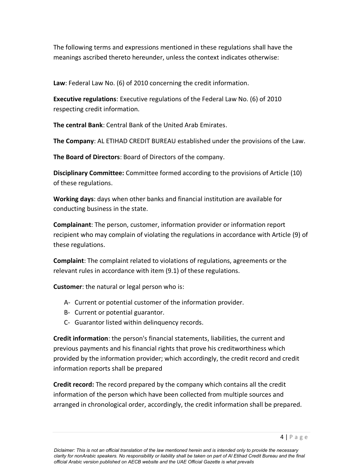The following terms and expressions mentioned in these regulations shall have the meanings ascribed thereto hereunder, unless the context indicates otherwise:

**Law**: Federal Law No. (6) of 2010 concerning the credit information.

**Executive regulations**: Executive regulations of the Federal Law No. (6) of 2010 respecting credit information.

**The central Bank**: Central Bank of the United Arab Emirates.

**The Company**: AL ETIHAD CREDIT BUREAU established under the provisions of the Law.

**The Board of Directors**: Board of Directors of the company.

**Disciplinary Committee:** Committee formed according to the provisions of Article (10) of these regulations.

**Working days**: days when other banks and financial institution are available for conducting business in the state.

**Complainant**: The person, customer, information provider or information report recipient who may complain of violating the regulations in accordance with Article (9) of these regulations.

**Complaint**: The complaint related to violations of regulations, agreements or the relevant rules in accordance with item (9.1) of these regulations.

**Customer**: the natural or legal person who is:

- A- Current or potential customer of the information provider.
- B- Current or potential guarantor.
- C- Guarantor listed within delinquency records.

**Credit information**: the person's financial statements, liabilities, the current and previous payments and his financial rights that prove his creditworthiness which provided by the information provider; which accordingly, the credit record and credit information reports shall be prepared

**Credit record:** The record prepared by the company which contains all the credit information of the person which have been collected from multiple sources and arranged in chronological order, accordingly, the credit information shall be prepared.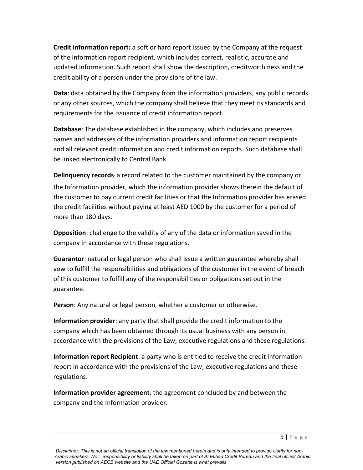**Credit information report:** a soft or hard report issued by the Company at the request of the information report recipient, which includes correct, realistic, accurate and updated information. Such report shall show the description, creditworthiness and the credit ability of a person under the provisions of the law.

**Data**: data obtained by the Company from the information providers, any public records or any other sources, which the company shall believe that they meet its standards and requirements for the issuance of credit information report.

**Database**: The database established in the company, which includes and preserves names and addresses of the information providers and information report recipients and all relevant credit information and credit information reports. Such database shall be linked electronically to Central Bank.

**Delinquency records**: a record related to the customer maintained by the company or the Information provider, which the information provider shows therein the default of the customer to pay current credit facilities or that the Information provider has erased the credit facilities without paying at least AED 1000 by the customer for a period of more than 180 days.

**Opposition**: challenge to the validity of any of the data or information saved in the company in accordance with these regulations.

**Guarantor**: natural or legal person who shall issue a written guarantee whereby shall vow to fulfill the responsibilities and obligations of the customer in the event of breach of this customer to fulfill any of the responsibilities or obligations set out in the guarantee.

**Person**: Any natural or legal person, whether a customer or otherwise.

**Information provider**: any party that shall provide the credit information to the company which has been obtained through its usual business with any person in accordance with the provisions of the Law, executive regulations and these regulations.

**Information report Recipient**: a party who is entitled to receive the credit information report in accordance with the provisions of the Law, executive regulations and these regulations.

**Information provider agreement**: the agreement concluded by and between the company and the Information provider.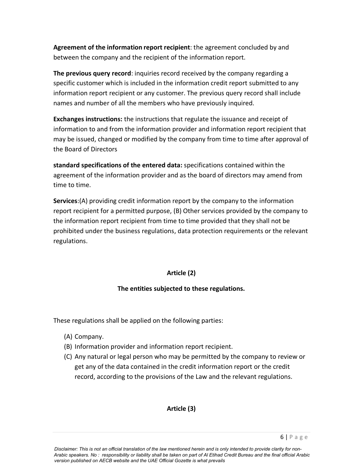**Agreement of the information report recipient**: the agreement concluded by and between the company and the recipient of the information report.

**The previous query record**: inquiries record received by the company regarding a specific customer which is included in the information credit report submitted to any information report recipient or any customer. The previous query record shall include names and number of all the members who have previously inquired.

**Exchanges instructions:** the instructions that regulate the issuance and receipt of information to and from the information provider and information report recipient that may be issued, changed or modified by the company from time to time after approval of the Board of Directors

**standard specifications of the entered data:** specifications contained within the agreement of the information provider and as the board of directors may amend from time to time.

**Services**:(A) providing credit information report by the company to the information report recipient for a permitted purpose, (B) Other services provided by the company to the information report recipient from time to time provided that they shall not be prohibited under the business regulations, data protection requirements or the relevant regulations.

#### **Article (2)**

#### **The entities subjected to these regulations.**

These regulations shall be applied on the following parties:

- (A) Company.
- (B) Information provider and information report recipient.
- (C) Any natural or legal person who may be permitted by the company to review or get any of the data contained in the credit information report or the credit record, according to the provisions of the Law and the relevant regulations.

#### **Article (3)**

*Disclaimer: This is not an official translation of the law mentioned herein and is only intended to provide clarity for non-Arabic speakers. No : responsibility or liability shall be taken on part of Al Etihad Credit Bureau and the final official Arabic version published on AECB website and the UAE Official Gozette is what prevails*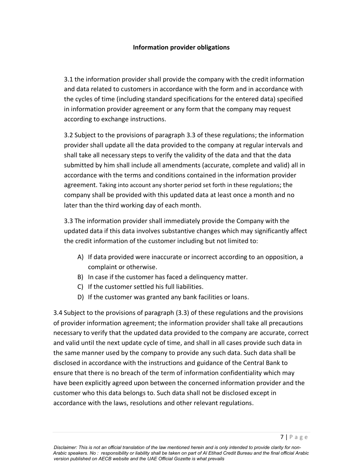#### **Information provider obligations**

3.1 the information provider shall provide the company with the credit information and data related to customers in accordance with the form and in accordance with the cycles of time (including standard specifications for the entered data) specified in information provider agreement or any form that the company may request according to exchange instructions.

3.2 Subject to the provisions of paragraph 3.3 of these regulations; the information provider shall update all the data provided to the company at regular intervals and shall take all necessary steps to verify the validity of the data and that the data submitted by him shall include all amendments (accurate, complete and valid) all in accordance with the terms and conditions contained in the information provider agreement. Taking into account any shorter period set forth in these regulations; the company shall be provided with this updated data at least once a month and no later than the third working day of each month.

3.3 The information provider shall immediately provide the Company with the updated data if this data involves substantive changes which may significantly affect the credit information of the customer including but not limited to:

- A) If data provided were inaccurate or incorrect according to an opposition, a complaint or otherwise.
- B) In case if the customer has faced a delinquency matter.
- C) If the customer settled his full liabilities.
- D) If the customer was granted any bank facilities or loans.

3.4 Subject to the provisions of paragraph (3.3) of these regulations and the provisions of provider information agreement; the information provider shall take all precautions necessary to verify that the updated data provided to the company are accurate, correct and valid until the next update cycle of time, and shall in all cases provide such data in the same manner used by the company to provide any such data. Such data shall be disclosed in accordance with the instructions and guidance of the Central Bank to ensure that there is no breach of the term of information confidentiality which may have been explicitly agreed upon between the concerned information provider and the customer who this data belongs to. Such data shall not be disclosed except in accordance with the laws, resolutions and other relevant regulations.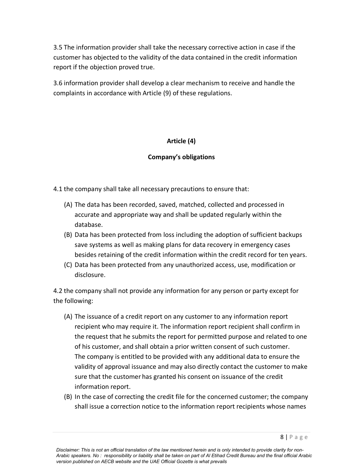3.5 The information provider shall take the necessary corrective action in case if the customer has objected to the validity of the data contained in the credit information report if the objection proved true.

3.6 information provider shall develop a clear mechanism to receive and handle the complaints in accordance with Article (9) of these regulations.

#### **Article (4)**

#### **Company's obligations**

4.1 the company shall take all necessary precautions to ensure that:

- (A) The data has been recorded, saved, matched, collected and processed in accurate and appropriate way and shall be updated regularly within the database.
- (B) Data has been protected from loss including the adoption of sufficient backups save systems as well as making plans for data recovery in emergency cases besides retaining of the credit information within the credit record for ten years.
- (C) Data has been protected from any unauthorized access, use, modification or disclosure.

4.2 the company shall not provide any information for any person or party except for the following:

- (A) The issuance of a credit report on any customer to any information report recipient who may require it. The information report recipient shall confirm in the request that he submits the report for permitted purpose and related to one of his customer, and shall obtain a prior written consent of such customer. The company is entitled to be provided with any additional data to ensure the validity of approval issuance and may also directly contact the customer to make sure that the customer has granted his consent on issuance of the credit information report.
- (B) In the case of correcting the credit file for the concerned customer; the company shall issue a correction notice to the information report recipients whose names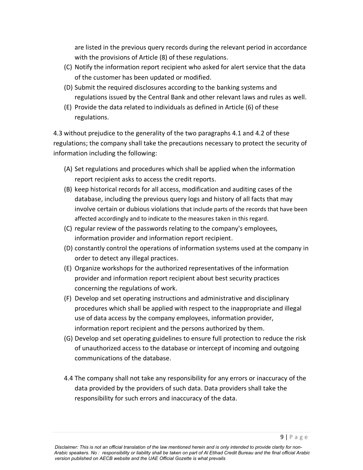are listed in the previous query records during the relevant period in accordance with the provisions of Article (8) of these regulations.

- (C) Notify the information report recipient who asked for alert service that the data of the customer has been updated or modified.
- (D) Submit the required disclosures according to the banking systems and regulations issued by the Central Bank and other relevant laws and rules as well.
- (E) Provide the data related to individuals as defined in Article (6) of these regulations.

4.3 without prejudice to the generality of the two paragraphs 4.1 and 4.2 of these regulations; the company shall take the precautions necessary to protect the security of information including the following:

- (A) Set regulations and procedures which shall be applied when the information report recipient asks to access the credit reports.
- (B) keep historical records for all access, modification and auditing cases of the database, including the previous query logs and history of all facts that may involve certain or dubious violations that include parts of the records that have been affected accordingly and to indicate to the measures taken in this regard.
- (C) regular review of the passwords relating to the company's employees, information provider and information report recipient.
- (D) constantly control the operations of information systems used at the company in order to detect any illegal practices.
- (E) Organize workshops for the authorized representatives of the information provider and information report recipient about best security practices concerning the regulations of work.
- (F) Develop and set operating instructions and administrative and disciplinary procedures which shall be applied with respect to the inappropriate and illegal use of data access by the company employees, information provider, information report recipient and the persons authorized by them.
- (G) Develop and set operating guidelines to ensure full protection to reduce the risk of unauthorized access to the database or intercept of incoming and outgoing communications of the database.
- 4.4 The company shall not take any responsibility for any errors or inaccuracy of the data provided by the providers of such data. Data providers shall take the responsibility for such errors and inaccuracy of the data.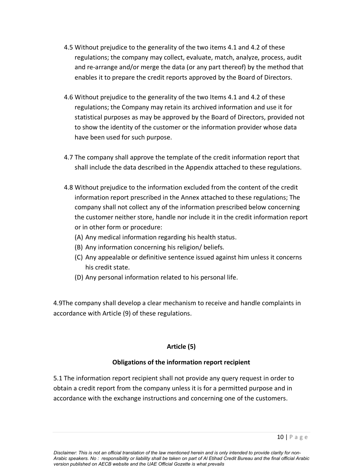- 4.5 Without prejudice to the generality of the two items 4.1 and 4.2 of these regulations; the company may collect, evaluate, match, analyze, process, audit and re-arrange and/or merge the data (or any part thereof) by the method that enables it to prepare the credit reports approved by the Board of Directors.
- 4.6 Without prejudice to the generality of the two Items 4.1 and 4.2 of these regulations; the Company may retain its archived information and use it for statistical purposes as may be approved by the Board of Directors, provided not to show the identity of the customer or the information provider whose data have been used for such purpose.
- 4.7 The company shall approve the template of the credit information report that shall include the data described in the Appendix attached to these regulations.
- 4.8 Without prejudice to the information excluded from the content of the credit information report prescribed in the Annex attached to these regulations; The company shall not collect any of the information prescribed below concerning the customer neither store, handle nor include it in the credit information report or in other form or procedure:
	- (A) Any medical information regarding his health status.
	- (B) Any information concerning his religion/ beliefs.
	- (C) Any appealable or definitive sentence issued against him unless it concerns his credit state.
	- (D) Any personal information related to his personal life.

4.9The company shall develop a clear mechanism to receive and handle complaints in accordance with Article (9) of these regulations.

# **Article (5)**

# **Obligations of the information report recipient**

5.1 The information report recipient shall not provide any query request in order to obtain a credit report from the company unless it is for a permitted purpose and in accordance with the exchange instructions and concerning one of the customers.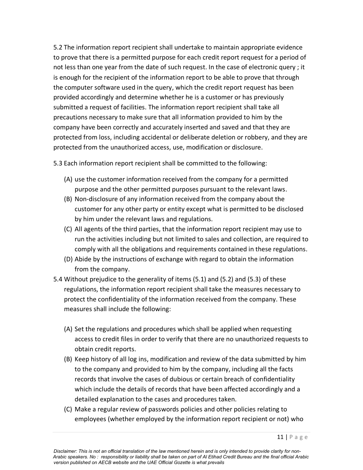5.2 The information report recipient shall undertake to maintain appropriate evidence to prove that there is a permitted purpose for each credit report request for a period of not less than one year from the date of such request. In the case of electronic query ; it is enough for the recipient of the information report to be able to prove that through the computer software used in the query, which the credit report request has been provided accordingly and determine whether he is a customer or has previously submitted a request of facilities. The information report recipient shall take all precautions necessary to make sure that all information provided to him by the company have been correctly and accurately inserted and saved and that they are protected from loss, including accidental or deliberate deletion or robbery, and they are protected from the unauthorized access, use, modification or disclosure.

5.3 Each information report recipient shall be committed to the following:

- (A) use the customer information received from the company for a permitted purpose and the other permitted purposes pursuant to the relevant laws.
- (B) Non-disclosure of any information received from the company about the customer for any other party or entity except what is permitted to be disclosed by him under the relevant laws and regulations.
- (C) All agents of the third parties, that the information report recipient may use to run the activities including but not limited to sales and collection, are required to comply with all the obligations and requirements contained in these regulations.
- (D) Abide by the instructions of exchange with regard to obtain the information from the company.
- 5.4 Without prejudice to the generality of items (5.1) and (5.2) and (5.3) of these regulations, the information report recipient shall take the measures necessary to protect the confidentiality of the information received from the company. These measures shall include the following:
	- (A) Set the regulations and procedures which shall be applied when requesting access to credit files in order to verify that there are no unauthorized requests to obtain credit reports.
	- (B) Keep history of all log ins, modification and review of the data submitted by him to the company and provided to him by the company, including all the facts records that involve the cases of dubious or certain breach of confidentiality which include the details of records that have been affected accordingly and a detailed explanation to the cases and procedures taken.
	- (C) Make a regular review of passwords policies and other policies relating to employees (whether employed by the information report recipient or not) who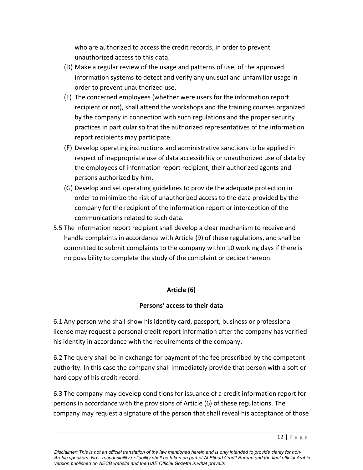who are authorized to access the credit records, in order to prevent unauthorized access to this data.

- (D) Make a regular review of the usage and patterns of use, of the approved information systems to detect and verify any unusual and unfamiliar usage in order to prevent unauthorized use.
- (E) The concerned employees (whether were users for the information report recipient or not), shall attend the workshops and the training courses organized by the company in connection with such regulations and the proper security practices in particular so that the authorized representatives of the information report recipients may participate.
- (F) Develop operating instructions and administrative sanctions to be applied in respect of inappropriate use of data accessibility or unauthorized use of data by the employees of information report recipient, their authorized agents and persons authorized by him.
- (G) Develop and set operating guidelines to provide the adequate protection in order to minimize the risk of unauthorized access to the data provided by the company for the recipient of the information report or interception of the communications related to such data.
- 5.5 The information report recipient shall develop a clear mechanism to receive and handle complaints in accordance with Article (9) of these regulations, and shall be committed to submit complaints to the company within 10 working days if there is no possibility to complete the study of the complaint or decide thereon.

#### **Article (6)**

#### **Persons' access to their data**

6.1 Any person who shall show his identity card, passport, business or professional license may request a personal credit report information after the company has verified his identity in accordance with the requirements of the company.

6.2 The query shall be in exchange for payment of the fee prescribed by the competent authority. In this case the company shall immediately provide that person with a soft or hard copy of his credit record.

6.3 The company may develop conditions for issuance of a credit information report for persons in accordance with the provisions of Article (6) of these regulations. The company may request a signature of the person that shall reveal his acceptance of those

*Disclaimer: This is not an official translation of the law mentioned herein and is only intended to provide clarity for non-Arabic speakers. No : responsibility or liability shall be taken on part of Al Etihad Credit Bureau and the final official Arabic version published on AECB website and the UAE Official Gozette is what prevails*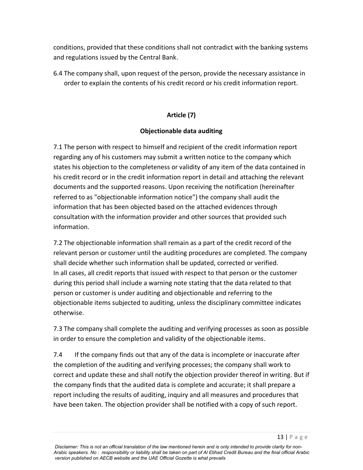conditions, provided that these conditions shall not contradict with the banking systems and regulations issued by the Central Bank.

6.4 The company shall, upon request of the person, provide the necessary assistance in order to explain the contents of his credit record or his credit information report.

# **Article (7)**

#### **Objectionable data auditing**

7.1 The person with respect to himself and recipient of the credit information report regarding any of his customers may submit a written notice to the company which states his objection to the completeness or validity of any item of the data contained in his credit record or in the credit information report in detail and attaching the relevant documents and the supported reasons. Upon receiving the notification (hereinafter referred to as "objectionable information notice") the company shall audit the information that has been objected based on the attached evidences through consultation with the information provider and other sources that provided such information.

7.2 The objectionable information shall remain as a part of the credit record of the relevant person or customer until the auditing procedures are completed. The company shall decide whether such information shall be updated, corrected or verified. In all cases, all credit reports that issued with respect to that person or the customer during this period shall include a warning note stating that the data related to that person or customer is under auditing and objectionable and referring to the objectionable items subjected to auditing, unless the disciplinary committee indicates otherwise.

7.3 The company shall complete the auditing and verifying processes as soon as possible in order to ensure the completion and validity of the objectionable items.

7.4 If the company finds out that any of the data is incomplete or inaccurate after the completion of the auditing and verifying processes; the company shall work to correct and update these and shall notify the objection provider thereof in writing. But if the company finds that the audited data is complete and accurate; it shall prepare a report including the results of auditing, inquiry and all measures and procedures that have been taken. The objection provider shall be notified with a copy of such report.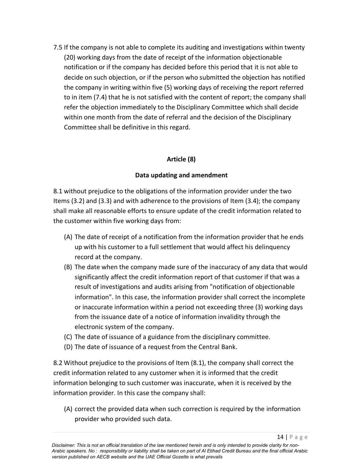7.5 If the company is not able to complete its auditing and investigations within twenty (20) working days from the date of receipt of the information objectionable notification or if the company has decided before this period that it is not able to decide on such objection, or if the person who submitted the objection has notified the company in writing within five (5) working days of receiving the report referred to in item (7.4) that he is not satisfied with the content of report; the company shall refer the objection immediately to the Disciplinary Committee which shall decide within one month from the date of referral and the decision of the Disciplinary Committee shall be definitive in this regard.

# **Article (8)**

#### **Data updating and amendment**

8.1 without prejudice to the obligations of the information provider under the two Items (3.2) and (3.3) and with adherence to the provisions of Item (3.4); the company shall make all reasonable efforts to ensure update of the credit information related to the customer within five working days from:

- (A) The date of receipt of a notification from the information provider that he ends up with his customer to a full settlement that would affect his delinquency record at the company.
- (B) The date when the company made sure of the inaccuracy of any data that would significantly affect the credit information report of that customer if that was a result of investigations and audits arising from "notification of objectionable information". In this case, the information provider shall correct the incomplete or inaccurate information within a period not exceeding three (3) working days from the issuance date of a notice of information invalidity through the electronic system of the company.
- (C) The date of issuance of a guidance from the disciplinary committee.
- (D) The date of issuance of a request from the Central Bank.

8.2 Without prejudice to the provisions of Item (8.1), the company shall correct the credit information related to any customer when it is informed that the credit information belonging to such customer was inaccurate, when it is received by the information provider. In this case the company shall:

(A) correct the provided data when such correction is required by the information provider who provided such data.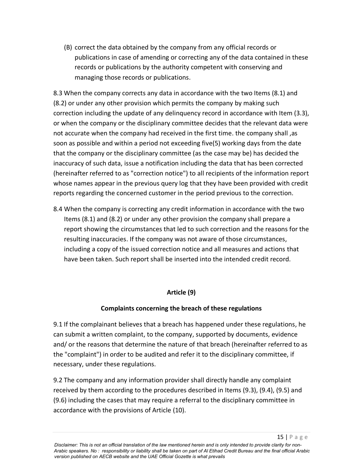(B) correct the data obtained by the company from any official records or publications in case of amending or correcting any of the data contained in these records or publications by the authority competent with conserving and managing those records or publications.

8.3 When the company corrects any data in accordance with the two Items (8.1) and (8.2) or under any other provision which permits the company by making such correction including the update of any delinquency record in accordance with Item (3.3), or when the company or the disciplinary committee decides that the relevant data were not accurate when the company had received in the first time. the company shall ,as soon as possible and within a period not exceeding five(5) working days from the date that the company or the disciplinary committee (as the case may be) has decided the inaccuracy of such data, issue a notification including the data that has been corrected (hereinafter referred to as "correction notice") to all recipients of the information report whose names appear in the previous query log that they have been provided with credit reports regarding the concerned customer in the period previous to the correction.

8.4 When the company is correcting any credit information in accordance with the two Items (8.1) and (8.2) or under any other provision the company shall prepare a report showing the circumstances that led to such correction and the reasons for the resulting inaccuracies. If the company was not aware of those circumstances, including a copy of the issued correction notice and all measures and actions that have been taken. Such report shall be inserted into the intended credit record.

# **Article (9)**

# **Complaints concerning the breach of these regulations**

9.1 If the complainant believes that a breach has happened under these regulations, he can submit a written complaint, to the company, supported by documents, evidence and/ or the reasons that determine the nature of that breach (hereinafter referred to as the "complaint") in order to be audited and refer it to the disciplinary committee, if necessary, under these regulations.

9.2 The company and any information provider shall directly handle any complaint received by them according to the procedures described in Items (9.3), (9.4), (9.5) and (9.6) including the cases that may require a referral to the disciplinary committee in accordance with the provisions of Article (10).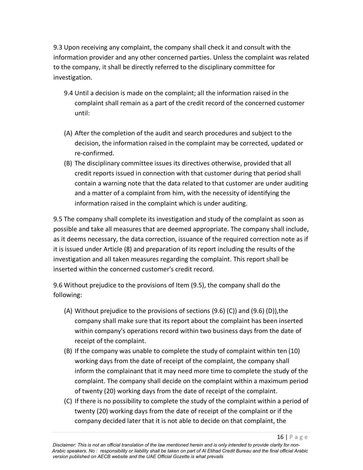9.3 Upon receiving any complaint, the company shall check it and consult with the information provider and any other concerned parties. Unless the complaint was related to the company, it shall be directly referred to the disciplinary committee for investigation.

- 9.4 Until a decision is made on the complaint; all the information raised in the complaint shall remain as a part of the credit record of the concerned customer until:
- (A) After the completion of the audit and search procedures and subject to the decision, the information raised in the complaint may be corrected, updated or re-confirmed.
- (B) The disciplinary committee issues its directives otherwise, provided that all credit reports issued in connection with that customer during that period shall contain a warning note that the data related to that customer are under auditing and a matter of a complaint from him, with the necessity of identifying the information raised in the complaint which is under auditing.

9.5 The company shall complete its investigation and study of the complaint as soon as possible and take all measures that are deemed appropriate. The company shall include, as it deems necessary, the data correction, issuance of the required correction note as if it is issued under Article (8) and preparation of its report including the results of the investigation and all taken measures regarding the complaint. This report shall be inserted within the concerned customer's credit record.

9.6 Without prejudice to the provisions of Item (9.5), the company shall do the following:

- (A) Without prejudice to the provisions of sections  $(9.6)$  (C)) and  $(9.6)$  (D)), the company shall make sure that its report about the complaint has been inserted within company's operations record within two business days from the date of receipt of the complaint.
- (B) If the company was unable to complete the study of complaint within ten (10) working days from the date of receipt of the complaint, the company shall inform the complainant that it may need more time to complete the study of the complaint. The company shall decide on the complaint within a maximum period of twenty (20) working days from the date of receipt of the complaint.
- (C) If there is no possibility to complete the study of the complaint within a period of twenty (20) working days from the date of receipt of the complaint or if the company decided later that it is not able to decide on that complaint, the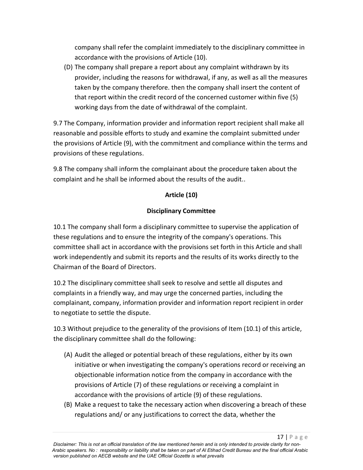company shall refer the complaint immediately to the disciplinary committee in accordance with the provisions of Article (10).

(D) The company shall prepare a report about any complaint withdrawn by its provider, including the reasons for withdrawal, if any, as well as all the measures taken by the company therefore. then the company shall insert the content of that report within the credit record of the concerned customer within five (5) working days from the date of withdrawal of the complaint.

9.7 The Company, information provider and information report recipient shall make all reasonable and possible efforts to study and examine the complaint submitted under the provisions of Article (9), with the commitment and compliance within the terms and provisions of these regulations.

9.8 The company shall inform the complainant about the procedure taken about the complaint and he shall be informed about the results of the audit..

#### **Article (10)**

#### **Disciplinary Committee**

10.1 The company shall form a disciplinary committee to supervise the application of these regulations and to ensure the integrity of the company's operations. This committee shall act in accordance with the provisions set forth in this Article and shall work independently and submit its reports and the results of its works directly to the Chairman of the Board of Directors.

10.2 The disciplinary committee shall seek to resolve and settle all disputes and complaints in a friendly way, and may urge the concerned parties, including the complainant, company, information provider and information report recipient in order to negotiate to settle the dispute.

10.3 Without prejudice to the generality of the provisions of Item (10.1) of this article, the disciplinary committee shall do the following:

- (A) Audit the alleged or potential breach of these regulations, either by its own initiative or when investigating the company's operations record or receiving an objectionable information notice from the company in accordance with the provisions of Article (7) of these regulations or receiving a complaint in accordance with the provisions of article (9) of these regulations.
- (B) Make a request to take the necessary action when discovering a breach of these regulations and/ or any justifications to correct the data, whether the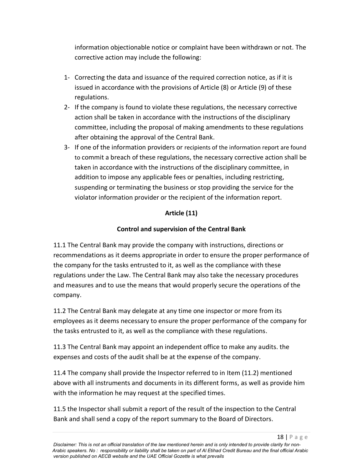information objectionable notice or complaint have been withdrawn or not. The corrective action may include the following:

- 1- Correcting the data and issuance of the required correction notice, as if it is issued in accordance with the provisions of Article (8) or Article (9) of these regulations.
- 2- If the company is found to violate these regulations, the necessary corrective action shall be taken in accordance with the instructions of the disciplinary committee, including the proposal of making amendments to these regulations after obtaining the approval of the Central Bank.
- 3- If one of the information providers or recipients of the information report are found to commit a breach of these regulations, the necessary corrective action shall be taken in accordance with the instructions of the disciplinary committee, in addition to impose any applicable fees or penalties, including restricting, suspending or terminating the business or stop providing the service for the violator information provider or the recipient of the information report.

# **Article (11)**

# **Control and supervision of the Central Bank**

11.1 The Central Bank may provide the company with instructions, directions or recommendations as it deems appropriate in order to ensure the proper performance of the company for the tasks entrusted to it, as well as the compliance with these regulations under the Law. The Central Bank may also take the necessary procedures and measures and to use the means that would properly secure the operations of the company.

11.2 The Central Bank may delegate at any time one inspector or more from its employees as it deems necessary to ensure the proper performance of the company for the tasks entrusted to it, as well as the compliance with these regulations.

11.3 The Central Bank may appoint an independent office to make any audits. the expenses and costs of the audit shall be at the expense of the company.

11.4 The company shall provide the Inspector referred to in Item (11.2) mentioned above with all instruments and documents in its different forms, as well as provide him with the information he may request at the specified times.

11.5 the Inspector shall submit a report of the result of the inspection to the Central Bank and shall send a copy of the report summary to the Board of Directors.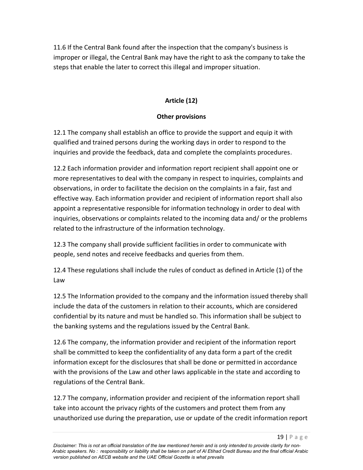11.6 If the Central Bank found after the inspection that the company's business is improper or illegal, the Central Bank may have the right to ask the company to take the steps that enable the later to correct this illegal and improper situation.

# **Article (12)**

# **Other provisions**

12.1 The company shall establish an office to provide the support and equip it with qualified and trained persons during the working days in order to respond to the inquiries and provide the feedback, data and complete the complaints procedures.

12.2 Each information provider and information report recipient shall appoint one or more representatives to deal with the company in respect to inquiries, complaints and observations, in order to facilitate the decision on the complaints in a fair, fast and effective way. Each information provider and recipient of information report shall also appoint a representative responsible for information technology in order to deal with inquiries, observations or complaints related to the incoming data and/ or the problems related to the infrastructure of the information technology.

12.3 The company shall provide sufficient facilities in order to communicate with people, send notes and receive feedbacks and queries from them.

12.4 These regulations shall include the rules of conduct as defined in Article (1) of the Law

12.5 The Information provided to the company and the information issued thereby shall include the data of the customers in relation to their accounts, which are considered confidential by its nature and must be handled so. This information shall be subject to the banking systems and the regulations issued by the Central Bank.

12.6 The company, the information provider and recipient of the information report shall be committed to keep the confidentiality of any data form a part of the credit information except for the disclosures that shall be done or permitted in accordance with the provisions of the Law and other laws applicable in the state and according to regulations of the Central Bank.

12.7 The company, information provider and recipient of the information report shall take into account the privacy rights of the customers and protect them from any unauthorized use during the preparation, use or update of the credit information report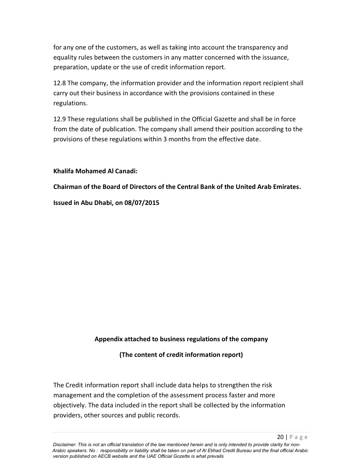for any one of the customers, as well as taking into account the transparency and equality rules between the customers in any matter concerned with the issuance, preparation, update or the use of credit information report.

12.8 The company, the information provider and the information report recipient shall carry out their business in accordance with the provisions contained in these regulations.

12.9 These regulations shall be published in the Official Gazette and shall be in force from the date of publication. The company shall amend their position according to the provisions of these regulations within 3 months from the effective date.

#### **Khalifa Mohamed Al Canadi:**

**Chairman of the Board of Directors of the Central Bank of the United Arab Emirates.**

**Issued in Abu Dhabi, on 08/07/2015**

#### **Appendix attached to business regulations of the company**

**(The content of credit information report)**

The Credit information report shall include data helps to strengthen the risk management and the completion of the assessment process faster and more objectively. The data included in the report shall be collected by the information providers, other sources and public records.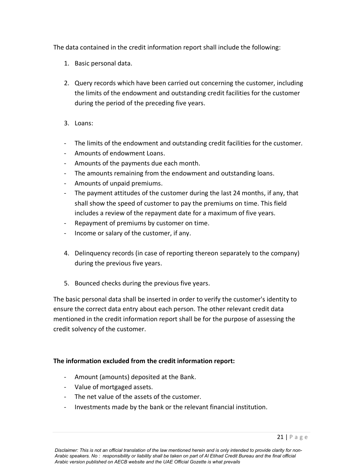The data contained in the credit information report shall include the following:

- 1. Basic personal data.
- 2. Query records which have been carried out concerning the customer, including the limits of the endowment and outstanding credit facilities for the customer during the period of the preceding five years.
- 3. Loans:
- The limits of the endowment and outstanding credit facilities for the customer.
- Amounts of endowment Loans.
- Amounts of the payments due each month.
- The amounts remaining from the endowment and outstanding loans.
- Amounts of unpaid premiums.
- The payment attitudes of the customer during the last 24 months, if any, that shall show the speed of customer to pay the premiums on time. This field includes a review of the repayment date for a maximum of five years.
- Repayment of premiums by customer on time.
- Income or salary of the customer, if any.
- 4. Delinquency records (in case of reporting thereon separately to the company) during the previous five years.
- 5. Bounced checks during the previous five years.

The basic personal data shall be inserted in order to verify the customer's identity to ensure the correct data entry about each person. The other relevant credit data mentioned in the credit information report shall be for the purpose of assessing the credit solvency of the customer.

#### **The information excluded from the credit information report:**

- Amount (amounts) deposited at the Bank.
- Value of mortgaged assets.
- The net value of the assets of the customer.
- Investments made by the bank or the relevant financial institution.